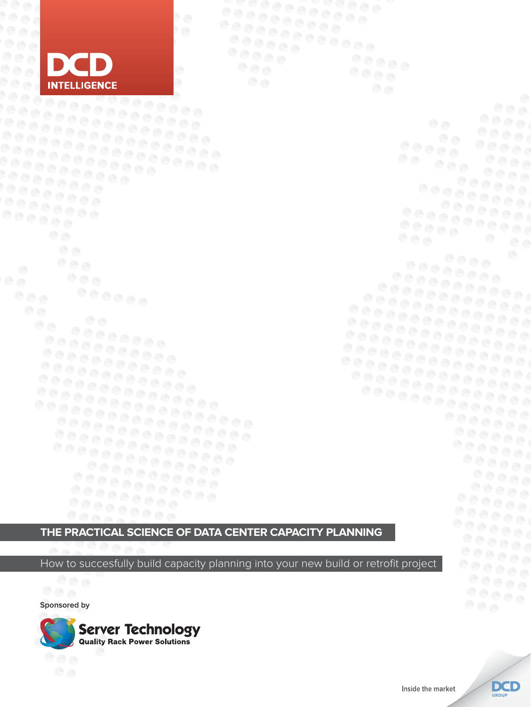

 $\overline{\mathbf{e}}$ 

**The Practical Science of Data Center Capacity Planning**

How to succesfully build capacity planning into your new build or retrofit project

**Sponsored by**



 $OOOA$ 

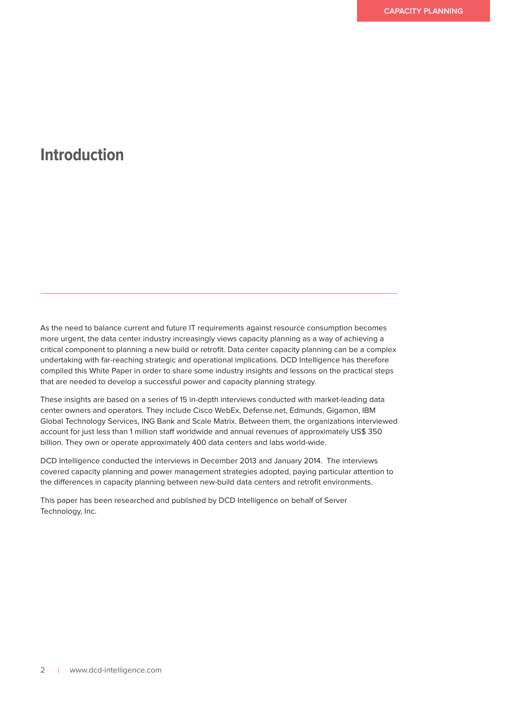## **Introduction**

As the need to balance current and future IT requirements against resource consumption becomes more urgent, the data center industry increasingly views capacity planning as a way of achieving a critical component to planning a new build or retrofit. Data center capacity planning can be a complex undertaking with far-reaching strategic and operational implications. DCD Intelligence has therefore compiled this White Paper in order to share some industry insights and lessons on the practical steps that are needed to develop a successful power and capacity planning strategy.

These insights are based on a series of 15 in-depth interviews conducted with market-leading data center owners and operators. They include Cisco WebEx, Defense.net, Edmunds, Gigamon, IBM Global Technology Services, ING Bank and Scale Matrix. Between them, the organizations interviewed account for just less than 1 million staff worldwide and annual revenues of approximately US\$ 350 billion. They own or operate approximately 400 data centers and labs world-wide.

DCD Intelligence conducted the interviews in December 2013 and January 2014. The interviews covered capacity planning and power management strategies adopted, paying particular attention to the differences in capacity planning between new-build data centers and retrofit environments.

This paper has been researched and published by DCD Intelligence on behalf of Server Technology, Inc.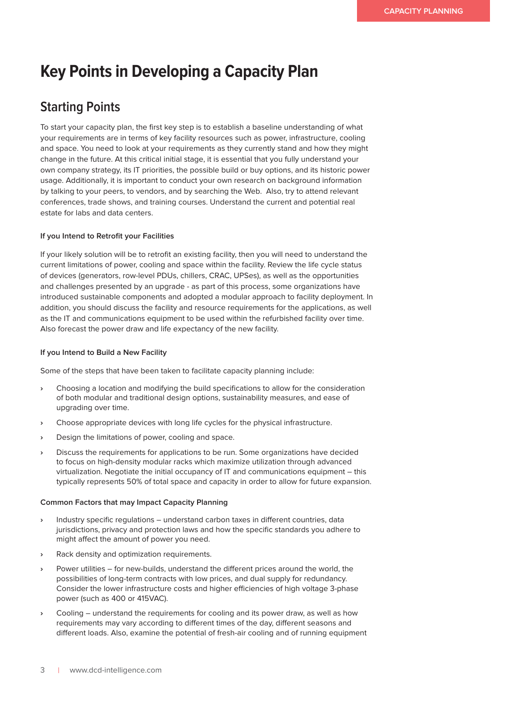# **Key Points in Developing a Capacity Plan**

### **Starting Points**

To start your capacity plan, the first key step is to establish a baseline understanding of what your requirements are in terms of key facility resources such as power, infrastructure, cooling and space. You need to look at your requirements as they currently stand and how they might change in the future. At this critical initial stage, it is essential that you fully understand your own company strategy, its IT priorities, the possible build or buy options, and its historic power usage. Additionally, it is important to conduct your own research on background information by talking to your peers, to vendors, and by searching the Web. Also, try to attend relevant conferences, trade shows, and training courses. Understand the current and potential real estate for labs and data centers.

### **If you Intend to Retrofit your Facilities**

If your likely solution will be to retrofit an existing facility, then you will need to understand the current limitations of power, cooling and space within the facility. Review the life cycle status of devices (generators, row-level PDUs, chillers, CRAC, UPSes), as well as the opportunities and challenges presented by an upgrade - as part of this process, some organizations have introduced sustainable components and adopted a modular approach to facility deployment. In addition, you should discuss the facility and resource requirements for the applications, as well as the IT and communications equipment to be used within the refurbished facility over time. Also forecast the power draw and life expectancy of the new facility.

### **If you Intend to Build a New Facility**

Some of the steps that have been taken to facilitate capacity planning include:

- **›** Choosing a location and modifying the build specifications to allow for the consideration of both modular and traditional design options, sustainability measures, and ease of upgrading over time.
- **›** Choose appropriate devices with long life cycles for the physical infrastructure.
- **›** Design the limitations of power, cooling and space.
- **›** Discuss the requirements for applications to be run. Some organizations have decided to focus on high-density modular racks which maximize utilization through advanced virtualization. Negotiate the initial occupancy of IT and communications equipment – this typically represents 50% of total space and capacity in order to allow for future expansion.

### **Common Factors that may Impact Capacity Planning**

- **›** Industry specific regulations understand carbon taxes in different countries, data jurisdictions, privacy and protection laws and how the specific standards you adhere to might affect the amount of power you need.
- **›** Rack density and optimization requirements.
- **›** Power utilities for new-builds, understand the different prices around the world, the possibilities of long-term contracts with low prices, and dual supply for redundancy. Consider the lower infrastructure costs and higher efficiencies of high voltage 3-phase power (such as 400 or 415VAC).
- **›** Cooling understand the requirements for cooling and its power draw, as well as how requirements may vary according to different times of the day, different seasons and different loads. Also, examine the potential of fresh-air cooling and of running equipment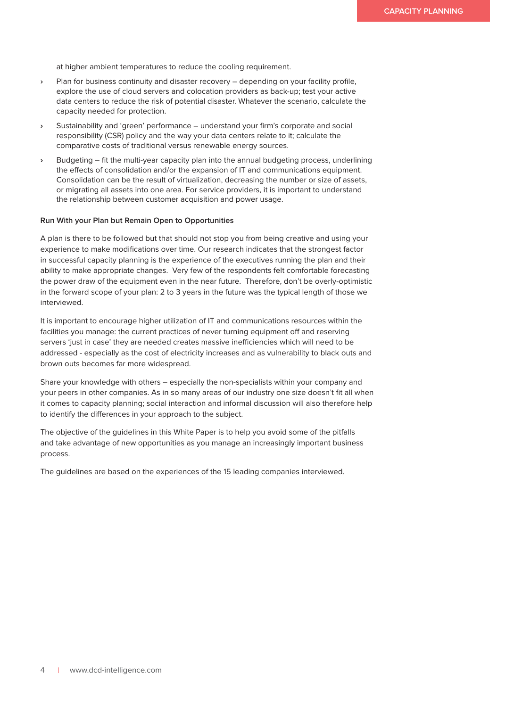at higher ambient temperatures to reduce the cooling requirement.

- **›** Plan for business continuity and disaster recovery depending on your facility profile, explore the use of cloud servers and colocation providers as back-up; test your active data centers to reduce the risk of potential disaster. Whatever the scenario, calculate the capacity needed for protection.
- **›** Sustainability and 'green' performance understand your firm's corporate and social responsibility (CSR) policy and the way your data centers relate to it; calculate the comparative costs of traditional versus renewable energy sources.
- **›** Budgeting fit the multi-year capacity plan into the annual budgeting process, underlining the effects of consolidation and/or the expansion of IT and communications equipment. Consolidation can be the result of virtualization, decreasing the number or size of assets, or migrating all assets into one area. For service providers, it is important to understand the relationship between customer acquisition and power usage.

### **Run With your Plan but Remain Open to Opportunities**

A plan is there to be followed but that should not stop you from being creative and using your experience to make modifications over time. Our research indicates that the strongest factor in successful capacity planning is the experience of the executives running the plan and their ability to make appropriate changes. Very few of the respondents felt comfortable forecasting the power draw of the equipment even in the near future. Therefore, don't be overly-optimistic in the forward scope of your plan: 2 to 3 years in the future was the typical length of those we interviewed.

It is important to encourage higher utilization of IT and communications resources within the facilities you manage: the current practices of never turning equipment off and reserving servers 'just in case' they are needed creates massive inefficiencies which will need to be addressed - especially as the cost of electricity increases and as vulnerability to black outs and brown outs becomes far more widespread.

Share your knowledge with others – especially the non-specialists within your company and your peers in other companies. As in so many areas of our industry one size doesn't fit all when it comes to capacity planning; social interaction and informal discussion will also therefore help to identify the differences in your approach to the subject.

The objective of the guidelines in this White Paper is to help you avoid some of the pitfalls and take advantage of new opportunities as you manage an increasingly important business process.

The guidelines are based on the experiences of the 15 leading companies interviewed.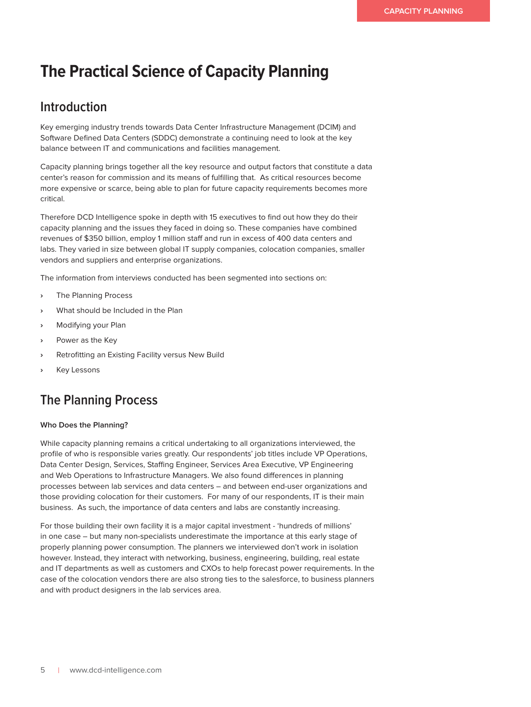# **The Practical Science of Capacity Planning**

### **Introduction**

Key emerging industry trends towards Data Center Infrastructure Management (DCIM) and Software Defined Data Centers (SDDC) demonstrate a continuing need to look at the key balance between IT and communications and facilities management.

Capacity planning brings together all the key resource and output factors that constitute a data center's reason for commission and its means of fulfilling that. As critical resources become more expensive or scarce, being able to plan for future capacity requirements becomes more critical.

Therefore DCD Intelligence spoke in depth with 15 executives to find out how they do their capacity planning and the issues they faced in doing so. These companies have combined revenues of \$350 billion, employ 1 million staff and run in excess of 400 data centers and labs. They varied in size between global IT supply companies, colocation companies, smaller vendors and suppliers and enterprise organizations.

The information from interviews conducted has been segmented into sections on:

- **›** The Planning Process
- **›** What should be Included in the Plan
- **›** Modifying your Plan
- **›** Power as the Key
- **›** Retrofitting an Existing Facility versus New Build
- **›** Key Lessons

### **The Planning Process**

### **Who Does the Planning?**

While capacity planning remains a critical undertaking to all organizations interviewed, the profile of who is responsible varies greatly. Our respondents' job titles include VP Operations, Data Center Design, Services, Staffing Engineer, Services Area Executive, VP Engineering and Web Operations to Infrastructure Managers. We also found differences in planning processes between lab services and data centers – and between end-user organizations and those providing colocation for their customers. For many of our respondents, IT is their main business. As such, the importance of data centers and labs are constantly increasing.

For those building their own facility it is a major capital investment - 'hundreds of millions' in one case – but many non-specialists underestimate the importance at this early stage of properly planning power consumption. The planners we interviewed don't work in isolation however. Instead, they interact with networking, business, engineering, building, real estate and IT departments as well as customers and CXOs to help forecast power requirements. In the case of the colocation vendors there are also strong ties to the salesforce, to business planners and with product designers in the lab services area.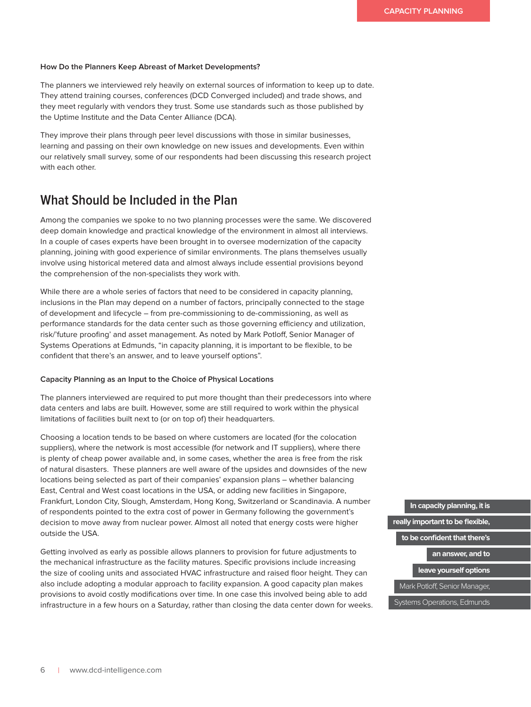#### **How Do the Planners Keep Abreast of Market Developments?**

The planners we interviewed rely heavily on external sources of information to keep up to date. They attend training courses, conferences (DCD Converged included) and trade shows, and they meet regularly with vendors they trust. Some use standards such as those published by the Uptime Institute and the Data Center Alliance (DCA).

They improve their plans through peer level discussions with those in similar businesses, learning and passing on their own knowledge on new issues and developments. Even within our relatively small survey, some of our respondents had been discussing this research project with each other.

### **What Should be Included in the Plan**

Among the companies we spoke to no two planning processes were the same. We discovered deep domain knowledge and practical knowledge of the environment in almost all interviews. In a couple of cases experts have been brought in to oversee modernization of the capacity planning, joining with good experience of similar environments. The plans themselves usually involve using historical metered data and almost always include essential provisions beyond the comprehension of the non-specialists they work with.

While there are a whole series of factors that need to be considered in capacity planning, inclusions in the Plan may depend on a number of factors, principally connected to the stage of development and lifecycle – from pre-commissioning to de-commissioning, as well as performance standards for the data center such as those governing efficiency and utilization, risk/'future proofing' and asset management. As noted by Mark Potloff, Senior Manager of Systems Operations at Edmunds, "in capacity planning, it is important to be flexible, to be confident that there's an answer, and to leave yourself options".

#### **Capacity Planning as an Input to the Choice of Physical Locations**

The planners interviewed are required to put more thought than their predecessors into where data centers and labs are built. However, some are still required to work within the physical limitations of facilities built next to (or on top of) their headquarters.

Choosing a location tends to be based on where customers are located (for the colocation suppliers), where the network is most accessible (for network and IT suppliers), where there is plenty of cheap power available and, in some cases, whether the area is free from the risk of natural disasters. These planners are well aware of the upsides and downsides of the new locations being selected as part of their companies' expansion plans – whether balancing East, Central and West coast locations in the USA, or adding new facilities in Singapore, Frankfurt, London City, Slough, Amsterdam, Hong Kong, Switzerland or Scandinavia. A number of respondents pointed to the extra cost of power in Germany following the government's decision to move away from nuclear power. Almost all noted that energy costs were higher outside the USA.

Getting involved as early as possible allows planners to provision for future adjustments to the mechanical infrastructure as the facility matures. Specific provisions include increasing the size of cooling units and associated HVAC infrastructure and raised floor height. They can also include adopting a modular approach to facility expansion. A good capacity plan makes provisions to avoid costly modifications over time. In one case this involved being able to add infrastructure in a few hours on a Saturday, rather than closing the data center down for weeks.

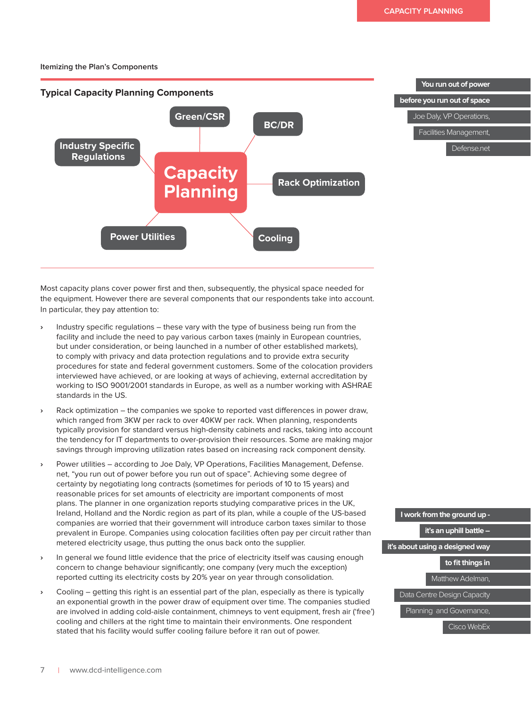**You run out of power** 

Defense.net

**before you run out of space** Joe Daly, VP Operations, Facilities Management,

# **Itemizing the Plan's Components** Components



Most capacity plans cover power first and then, subsequently, the physical space needed for the equipment. However there are several components that our respondents take into account. In particular, they pay attention to:

- **›** Industry specific regulations these vary with the type of business being run from the facility and include the need to pay various carbon taxes (mainly in European countries, but under consideration, or being launched in a number of other established markets), to comply with privacy and data protection regulations and to provide extra security procedures for state and federal government customers. Some of the colocation providers interviewed have achieved, or are looking at ways of achieving, external accreditation by working to ISO 9001/2001 standards in Europe, as well as a number working with ASHRAE standards in the US.
- **›** Rack optimization the companies we spoke to reported vast differences in power draw, which ranged from 3KW per rack to over 40KW per rack. When planning, respondents typically provision for standard versus high-density cabinets and racks, taking into account the tendency for IT departments to over-provision their resources. Some are making major savings through improving utilization rates based on increasing rack component density.
- **›** Power utilities according to Joe Daly, VP Operations, Facilities Management, Defense. net, "you run out of power before you run out of space". Achieving some degree of certainty by negotiating long contracts (sometimes for periods of 10 to 15 years) and reasonable prices for set amounts of electricity are important components of most plans. The planner in one organization reports studying comparative prices in the UK, Ireland, Holland and the Nordic region as part of its plan, while a couple of the US-based companies are worried that their government will introduce carbon taxes similar to those prevalent in Europe. Companies using colocation facilities often pay per circuit rather than metered electricity usage, thus putting the onus back onto the supplier.
- **›** In general we found little evidence that the price of electricity itself was causing enough concern to change behaviour significantly; one company (very much the exception) reported cutting its electricity costs by 20% year on year through consolidation.
- **›** Cooling getting this right is an essential part of the plan, especially as there is typically an exponential growth in the power draw of equipment over time. The companies studied are involved in adding cold-aisle containment, chimneys to vent equipment, fresh air ('free') cooling and chillers at the right time to maintain their environments. One respondent stated that his facility would suffer cooling failure before it ran out of power.



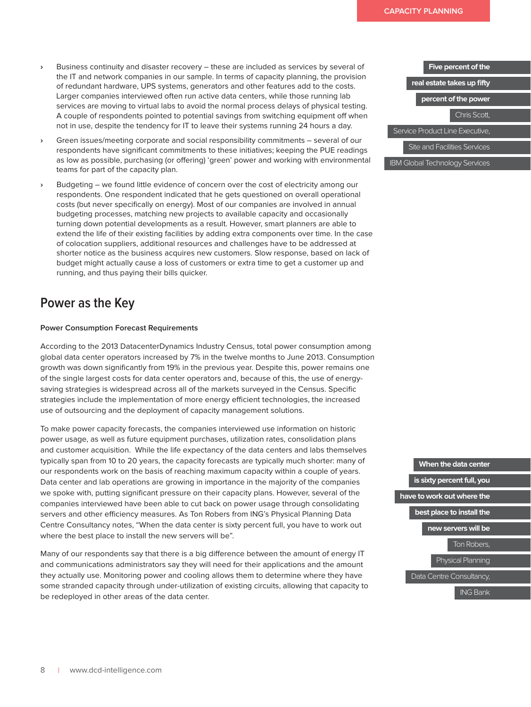- **›** Business continuity and disaster recovery these are included as services by several of the IT and network companies in our sample. In terms of capacity planning, the provision of redundant hardware, UPS systems, generators and other features add to the costs. Larger companies interviewed often run active data centers, while those running lab services are moving to virtual labs to avoid the normal process delays of physical testing. A couple of respondents pointed to potential savings from switching equipment off when not in use, despite the tendency for IT to leave their systems running 24 hours a day.
- **›** Green issues/meeting corporate and social responsibility commitments several of our respondents have significant commitments to these initiatives; keeping the PUE readings as low as possible, purchasing (or offering) 'green' power and working with environmental teams for part of the capacity plan.
- **›** Budgeting we found little evidence of concern over the cost of electricity among our respondents. One respondent indicated that he gets questioned on overall operational costs (but never specifically on energy). Most of our companies are involved in annual budgeting processes, matching new projects to available capacity and occasionally turning down potential developments as a result. However, smart planners are able to extend the life of their existing facilities by adding extra components over time. In the case of colocation suppliers, additional resources and challenges have to be addressed at shorter notice as the business acquires new customers. Slow response, based on lack of budget might actually cause a loss of customers or extra time to get a customer up and running, and thus paying their bills quicker.

### **Power as the Key**

### **Power Consumption Forecast Requirements**

According to the 2013 DatacenterDynamics Industry Census, total power consumption among global data center operators increased by 7% in the twelve months to June 2013. Consumption growth was down significantly from 19% in the previous year. Despite this, power remains one of the single largest costs for data center operators and, because of this, the use of energysaving strategies is widespread across all of the markets surveyed in the Census. Specific strategies include the implementation of more energy efficient technologies, the increased use of outsourcing and the deployment of capacity management solutions.

To make power capacity forecasts, the companies interviewed use information on historic power usage, as well as future equipment purchases, utilization rates, consolidation plans and customer acquisition. While the life expectancy of the data centers and labs themselves typically span from 10 to 20 years, the capacity forecasts are typically much shorter: many of our respondents work on the basis of reaching maximum capacity within a couple of years. Data center and lab operations are growing in importance in the majority of the companies we spoke with, putting significant pressure on their capacity plans. However, several of the companies interviewed have been able to cut back on power usage through consolidating servers and other efficiency measures. As Ton Robers from ING's Physical Planning Data Centre Consultancy notes, "When the data center is sixty percent full, you have to work out where the best place to install the new servers will be".

Many of our respondents say that there is a big difference between the amount of energy IT and communications administrators say they will need for their applications and the amount they actually use. Monitoring power and cooling allows them to determine where they have some stranded capacity through under-utilization of existing circuits, allowing that capacity to be redeployed in other areas of the data center.



**When the data center is sixty percent full, you have to work out where the best place to install the new servers will be**  Ton Robers, Physical Planning Data Centre Consultancy, ING Bank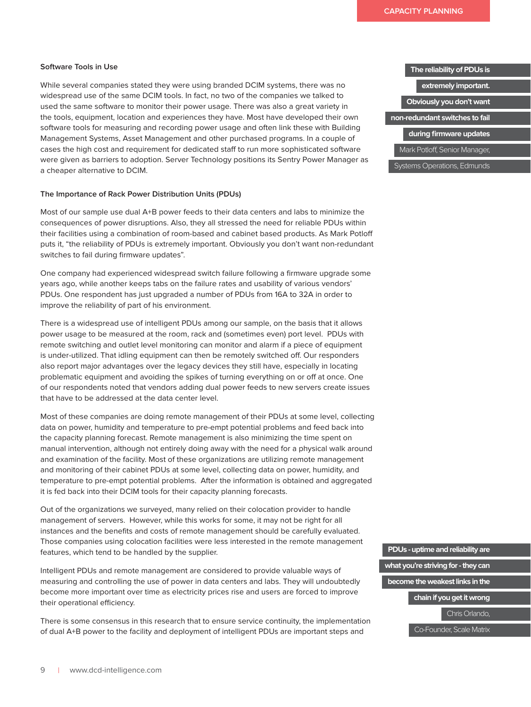### **Software Tools in Use**

While several companies stated they were using branded DCIM systems, there was no widespread use of the same DCIM tools. In fact, no two of the companies we talked to used the same software to monitor their power usage. There was also a great variety in the tools, equipment, location and experiences they have. Most have developed their own software tools for measuring and recording power usage and often link these with Building Management Systems, Asset Management and other purchased programs. In a couple of cases the high cost and requirement for dedicated staff to run more sophisticated software were given as barriers to adoption. Server Technology positions its Sentry Power Manager as a cheaper alternative to DCIM.

#### **The Importance of Rack Power Distribution Units (PDUs)**

Most of our sample use dual A+B power feeds to their data centers and labs to minimize the consequences of power disruptions. Also, they all stressed the need for reliable PDUs within their facilities using a combination of room-based and cabinet based products. As Mark Potloff puts it, "the reliability of PDUs is extremely important. Obviously you don't want non-redundant switches to fail during firmware updates".

One company had experienced widespread switch failure following a firmware upgrade some years ago, while another keeps tabs on the failure rates and usability of various vendors' PDUs. One respondent has just upgraded a number of PDUs from 16A to 32A in order to improve the reliability of part of his environment.

There is a widespread use of intelligent PDUs among our sample, on the basis that it allows power usage to be measured at the room, rack and (sometimes even) port level. PDUs with remote switching and outlet level monitoring can monitor and alarm if a piece of equipment is under-utilized. That idling equipment can then be remotely switched off. Our responders also report major advantages over the legacy devices they still have, especially in locating problematic equipment and avoiding the spikes of turning everything on or off at once. One of our respondents noted that vendors adding dual power feeds to new servers create issues that have to be addressed at the data center level.

Most of these companies are doing remote management of their PDUs at some level, collecting data on power, humidity and temperature to pre-empt potential problems and feed back into the capacity planning forecast. Remote management is also minimizing the time spent on manual intervention, although not entirely doing away with the need for a physical walk around and examination of the facility. Most of these organizations are utilizing remote management and monitoring of their cabinet PDUs at some level, collecting data on power, humidity, and temperature to pre-empt potential problems. After the information is obtained and aggregated it is fed back into their DCIM tools for their capacity planning forecasts.

Out of the organizations we surveyed, many relied on their colocation provider to handle management of servers. However, while this works for some, it may not be right for all instances and the benefits and costs of remote management should be carefully evaluated. Those companies using colocation facilities were less interested in the remote management features, which tend to be handled by the supplier.

Intelligent PDUs and remote management are considered to provide valuable ways of measuring and controlling the use of power in data centers and labs. They will undoubtedly become more important over time as electricity prices rise and users are forced to improve their operational efficiency.

There is some consensus in this research that to ensure service continuity, the implementation of dual A+B power to the facility and deployment of intelligent PDUs are important steps and

#### **The reliability of PDUs is**

**extremely important.** 

**Obviously you don't want** 

**non-redundant switches to fail** 

**during firmware updates**

Mark Potloff, Senior Manager,

Systems Operations, Edmunds

**PDUs - uptime and reliability are what you're striving for - they can become the weakest links in the chain if you get it wrong** Chris Orlando, Co-Founder, Scale Matrix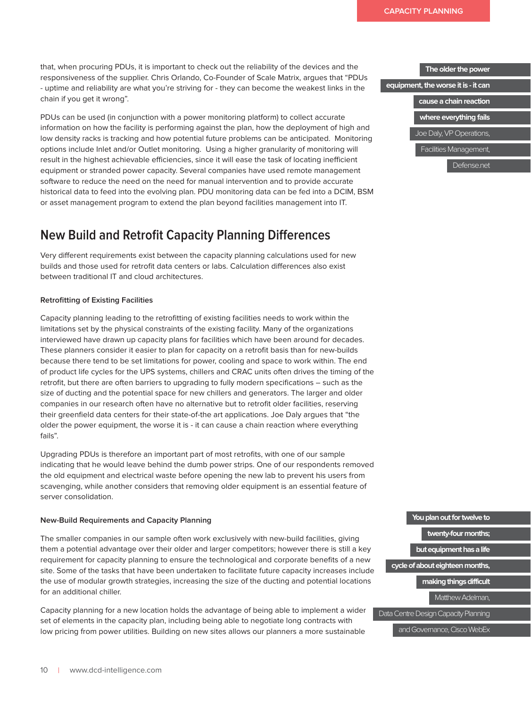that, when procuring PDUs, it is important to check out the reliability of the devices and the responsiveness of the supplier. Chris Orlando, Co-Founder of Scale Matrix, argues that "PDUs - uptime and reliability are what you're striving for - they can become the weakest links in the chain if you get it wrong".

PDUs can be used (in conjunction with a power monitoring platform) to collect accurate information on how the facility is performing against the plan, how the deployment of high and low density racks is tracking and how potential future problems can be anticipated. Monitoring options include Inlet and/or Outlet monitoring. Using a higher granularity of monitoring will result in the highest achievable efficiencies, since it will ease the task of locating inefficient equipment or stranded power capacity. Several companies have used remote management software to reduce the need on the need for manual intervention and to provide accurate historical data to feed into the evolving plan. PDU monitoring data can be fed into a DCIM, BSM or asset management program to extend the plan beyond facilities management into IT.

### **New Build and Retrofit Capacity Planning Differences**

Very different requirements exist between the capacity planning calculations used for new builds and those used for retrofit data centers or labs. Calculation differences also exist between traditional IT and cloud architectures.

### **Retrofitting of Existing Facilities**

Capacity planning leading to the retrofitting of existing facilities needs to work within the limitations set by the physical constraints of the existing facility. Many of the organizations interviewed have drawn up capacity plans for facilities which have been around for decades. These planners consider it easier to plan for capacity on a retrofit basis than for new-builds because there tend to be set limitations for power, cooling and space to work within. The end of product life cycles for the UPS systems, chillers and CRAC units often drives the timing of the retrofit, but there are often barriers to upgrading to fully modern specifications – such as the size of ducting and the potential space for new chillers and generators. The larger and older companies in our research often have no alternative but to retrofit older facilities, reserving their greenfield data centers for their state-of-the art applications. Joe Daly argues that "the older the power equipment, the worse it is - it can cause a chain reaction where everything fails".

Upgrading PDUs is therefore an important part of most retrofits, with one of our sample indicating that he would leave behind the dumb power strips. One of our respondents removed the old equipment and electrical waste before opening the new lab to prevent his users from scavenging, while another considers that removing older equipment is an essential feature of server consolidation.

### **New-Build Requirements and Capacity Planning**

The smaller companies in our sample often work exclusively with new-build facilities, giving them a potential advantage over their older and larger competitors; however there is still a key requirement for capacity planning to ensure the technological and corporate benefits of a new site. Some of the tasks that have been undertaken to facilitate future capacity increases include the use of modular growth strategies, increasing the size of the ducting and potential locations for an additional chiller.

Capacity planning for a new location holds the advantage of being able to implement a wider set of elements in the capacity plan, including being able to negotiate long contracts with low pricing from power utilities. Building on new sites allows our planners a more sustainable



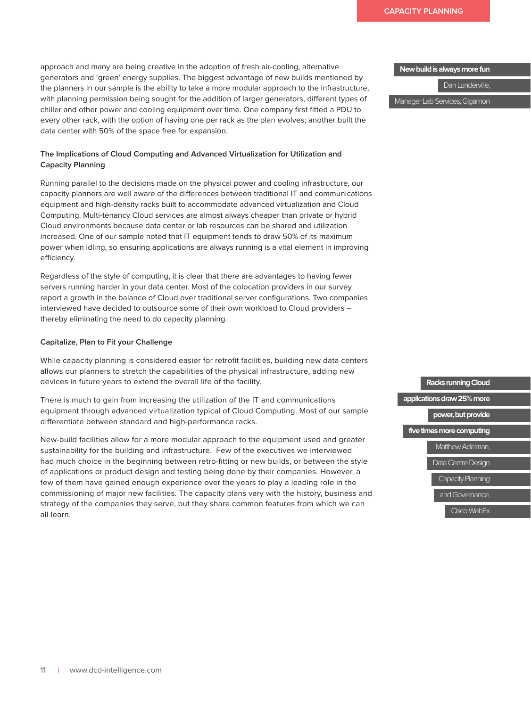approach and many are being creative in the adoption of fresh air-cooling, alternative generators and 'green' energy supplies. The biggest advantage of new builds mentioned by the planners in our sample is the ability to take a more modular approach to the infrastructure, with planning permission being sought for the addition of larger generators, different types of chiller and other power and cooling equipment over time. One company first fitted a PDU to every other rack, with the option of having one per rack as the plan evolves; another built the data center with 50% of the space free for expansion.

### **The Implications of Cloud Computing and Advanced Virtualization for Utilization and Capacity Planning**

Running parallel to the decisions made on the physical power and cooling infrastructure, our capacity planners are well aware of the differences between traditional IT and communications equipment and high-density racks built to accommodate advanced virtualization and Cloud Computing. Multi-tenancy Cloud services are almost always cheaper than private or hybrid Cloud environments because data center or lab resources can be shared and utilization increased. One of our sample noted that IT equipment tends to draw 50% of its maximum power when idling, so ensuring applications are always running is a vital element in improving efficiency.

Regardless of the style of computing, it is clear that there are advantages to having fewer servers running harder in your data center. Most of the colocation providers in our survey report a growth in the balance of Cloud over traditional server configurations. Two companies interviewed have decided to outsource some of their own workload to Cloud providers – thereby eliminating the need to do capacity planning.

### **Capitalize, Plan to Fit your Challenge**

While capacity planning is considered easier for retrofit facilities, building new data centers allows our planners to stretch the capabilities of the physical infrastructure, adding new devices in future years to extend the overall life of the facility.

There is much to gain from increasing the utilization of the IT and communications equipment through advanced virtualization typical of Cloud Computing. Most of our sample differentiate between standard and high-performance racks.

New-build facilities allow for a more modular approach to the equipment used and greater sustainability for the building and infrastructure. Few of the executives we interviewed had much choice in the beginning between retro-fitting or new builds, or between the style of applications or product design and testing being done by their companies. However, a few of them have gained enough experience over the years to play a leading role in the commissioning of major new facilities. The capacity plans vary with the history, business and strategy of the companies they serve, but they share common features from which we can all learn.

**New build is always more fun**

Dan Lunderville,

Manager Lab Services, Gigamon

**Racks running Cloud applications draw 25% more power, but provide five times more computing** Matthew Adelman, Data Centre Design Capacity Planning and Governance, Cisco WebEx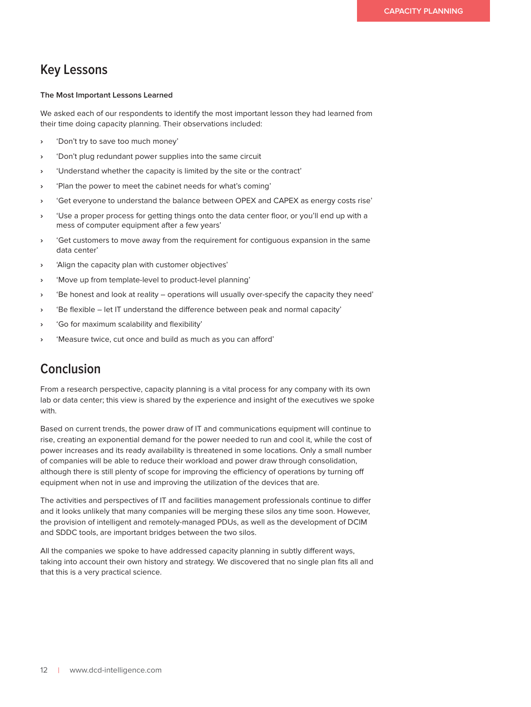### **Key Lessons**

### **The Most Important Lessons Learned**

We asked each of our respondents to identify the most important lesson they had learned from their time doing capacity planning. Their observations included:

- **›** 'Don't try to save too much money'
- **›** 'Don't plug redundant power supplies into the same circuit
- **›** 'Understand whether the capacity is limited by the site or the contract'
- **›** 'Plan the power to meet the cabinet needs for what's coming'
- **›** 'Get everyone to understand the balance between OPEX and CAPEX as energy costs rise'
- **›** 'Use a proper process for getting things onto the data center floor, or you'll end up with a mess of computer equipment after a few years'
- **›** 'Get customers to move away from the requirement for contiguous expansion in the same data center'
- **›** 'Align the capacity plan with customer objectives'
- **›** 'Move up from template-level to product-level planning'
- **›** 'Be honest and look at reality operations will usually over-specify the capacity they need'
- **›** 'Be flexible let IT understand the difference between peak and normal capacity'
- **›** 'Go for maximum scalability and flexibility'
- **›** 'Measure twice, cut once and build as much as you can afford'

### **Conclusion**

From a research perspective, capacity planning is a vital process for any company with its own lab or data center; this view is shared by the experience and insight of the executives we spoke with.

Based on current trends, the power draw of IT and communications equipment will continue to rise, creating an exponential demand for the power needed to run and cool it, while the cost of power increases and its ready availability is threatened in some locations. Only a small number of companies will be able to reduce their workload and power draw through consolidation, although there is still plenty of scope for improving the efficiency of operations by turning off equipment when not in use and improving the utilization of the devices that are.

The activities and perspectives of IT and facilities management professionals continue to differ and it looks unlikely that many companies will be merging these silos any time soon. However, the provision of intelligent and remotely-managed PDUs, as well as the development of DCIM and SDDC tools, are important bridges between the two silos.

All the companies we spoke to have addressed capacity planning in subtly different ways, taking into account their own history and strategy. We discovered that no single plan fits all and that this is a very practical science.